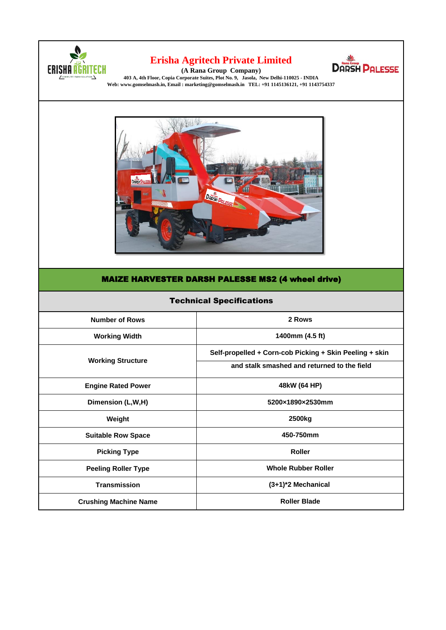

## **[Erisha Agr](http://www.ranagroup.in/)itech Private Limited**



**[\(A Ra](http://www.ranagroup.in/)na Group Company) [403 A, 4th Floor, Copia Corporat](http://www.ranagroup.in/)e Suites, Plot No. 9, Jasola, New Delhi-110025 - INDIA [Web: www.gomselmash.in, Email : mark](http://www.ranagroup.in/)eting@gomselmash.in TEL: +91 1145136121, +91 1143754337** 



## MAIZE HARVESTER DARSH PALESSE MS2 (4 wheel drive)

| <b>Technical Specifications</b> |                                                         |
|---------------------------------|---------------------------------------------------------|
| <b>Number of Rows</b>           | 2 Rows                                                  |
| <b>Working Width</b>            | 1400mm (4.5 ft)                                         |
| <b>Working Structure</b>        | Self-propelled + Corn-cob Picking + Skin Peeling + skin |
|                                 | and stalk smashed and returned to the field             |
| <b>Engine Rated Power</b>       | 48kW (64 HP)                                            |
| Dimension (L,W,H)               | 5200×1890×2530mm                                        |
| Weight                          | 2500 <sub>kg</sub>                                      |
| <b>Suitable Row Space</b>       | 450-750mm                                               |
| <b>Picking Type</b>             | <b>Roller</b>                                           |
| <b>Peeling Roller Type</b>      | <b>Whole Rubber Roller</b>                              |
| <b>Transmission</b>             | (3+1)*2 Mechanical                                      |
| <b>Crushing Machine Name</b>    | <b>Roller Blade</b>                                     |